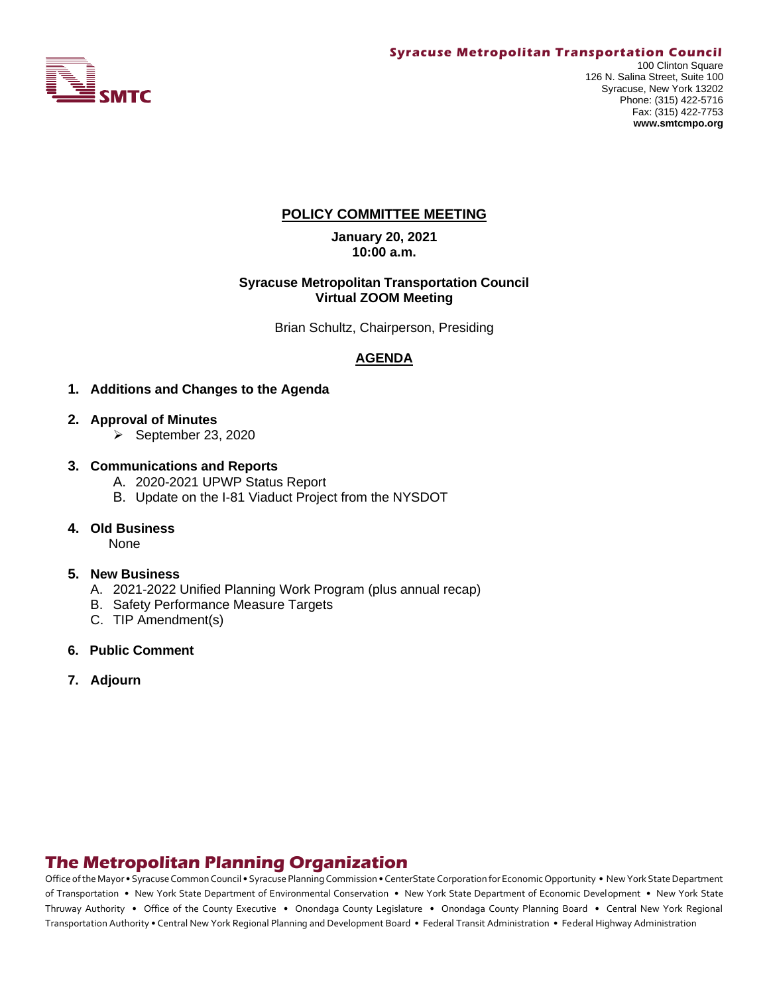

## **POLICY COMMITTEE MEETING**

**January 20, 2021 10:00 a.m.**

#### **Syracuse Metropolitan Transportation Council Virtual ZOOM Meeting**

Brian Schultz, Chairperson, Presiding

# **AGENDA**

- **1. Additions and Changes to the Agenda**
- **2. Approval of Minutes**
	- ➢ September 23, 2020
- **3. Communications and Reports** 
	- A. 2020-2021 UPWP Status Report
	- B. Update on the I-81 Viaduct Project from the NYSDOT
- **4. Old Business**

None

#### **5. New Business**

- A. 2021-2022 Unified Planning Work Program (plus annual recap)
- B. Safety Performance Measure Targets
- C. TIP Amendment(s)
- **6. Public Comment**
- **7. Adjourn**

# **The Metropolitan Planning Organization**

Office of the Mayor • Syracuse Common Council • Syracuse Planning Commission • CenterState Corporation for Economic Opportunity • New York State Department of Transportation • New York State Department of Environmental Conservation • New York State Department of Economic Development • New York State Thruway Authority • Office of the County Executive • Onondaga County Legislature • Onondaga County Planning Board • Central New York Regional Transportation Authority • Central New York Regional Planning and Development Board • Federal Transit Administration • Federal Highway Administration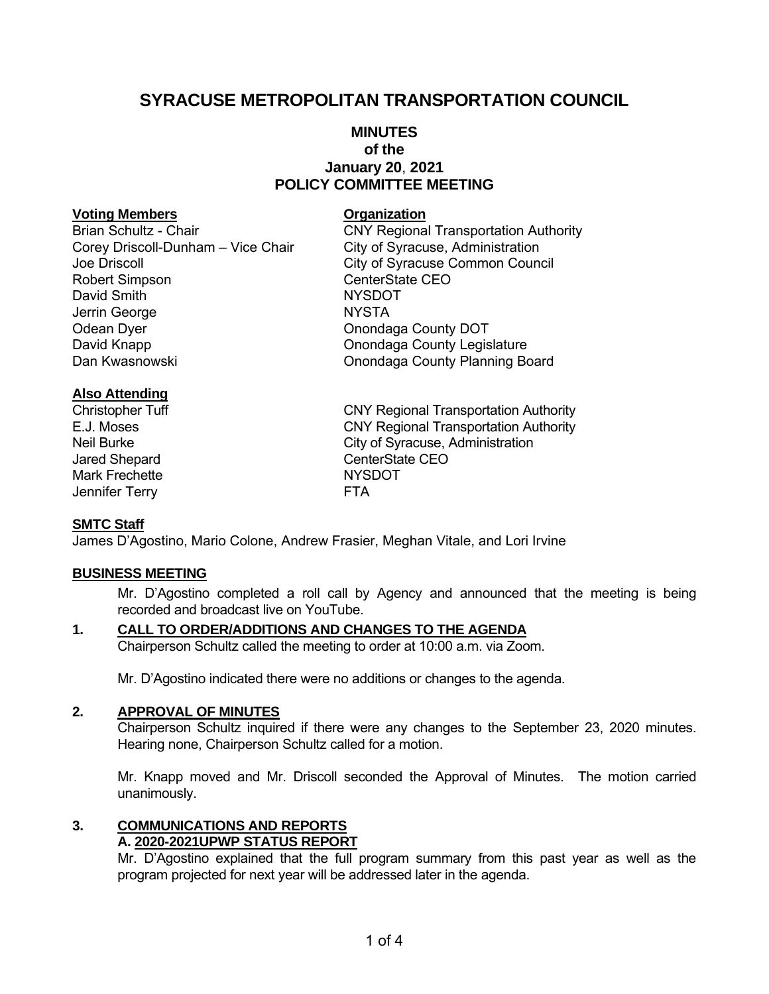# **SYRACUSE METROPOLITAN TRANSPORTATION COUNCIL**

# **MINUTES of the January 20**, **2021 POLICY COMMITTEE MEETING**

#### **Voting Members Organization**

Brian Schultz - Chair **CNY Regional Transportation Authority** Corey Driscoll-Dunham – Vice Chair City of Syracuse, Administration Joe Driscoll City of Syracuse Common Council Robert Simpson CenterState CEO David Smith NYSDOT Jerrin George NYSTA Odean Dyer **Onondaga County DOT** David Knapp<br>Dan Kwasnowski Mareka Barat (Donondaga County Legislature<br>Onondaga County Planning Bo

**Onondaga County Planning Board** 

### **Also Attending**

Mark Frechette NYSDOT Jennifer Terry **FTA** 

Christopher Tuff CNY Regional Transportation Authority E.J. Moses CNY Regional Transportation Authority Neil Burke **City of Syracuse, Administration** Jared Shepard **CenterState CEO** 

#### **SMTC Staff**

James D'Agostino, Mario Colone, Andrew Frasier, Meghan Vitale, and Lori Irvine

#### **BUSINESS MEETING**

Mr. D'Agostino completed a roll call by Agency and announced that the meeting is being recorded and broadcast live on YouTube.

# **1. CALL TO ORDER/ADDITIONS AND CHANGES TO THE AGENDA**

Chairperson Schultz called the meeting to order at 10:00 a.m. via Zoom.

Mr. D'Agostino indicated there were no additions or changes to the agenda.

### **2. APPROVAL OF MINUTES**

Chairperson Schultz inquired if there were any changes to the September 23, 2020 minutes. Hearing none, Chairperson Schultz called for a motion.

Mr. Knapp moved and Mr. Driscoll seconded the Approval of Minutes. The motion carried unanimously.

#### **3. COMMUNICATIONS AND REPORTS A. 2020-2021UPWP STATUS REPORT**

Mr. D'Agostino explained that the full program summary from this past year as well as the program projected for next year will be addressed later in the agenda.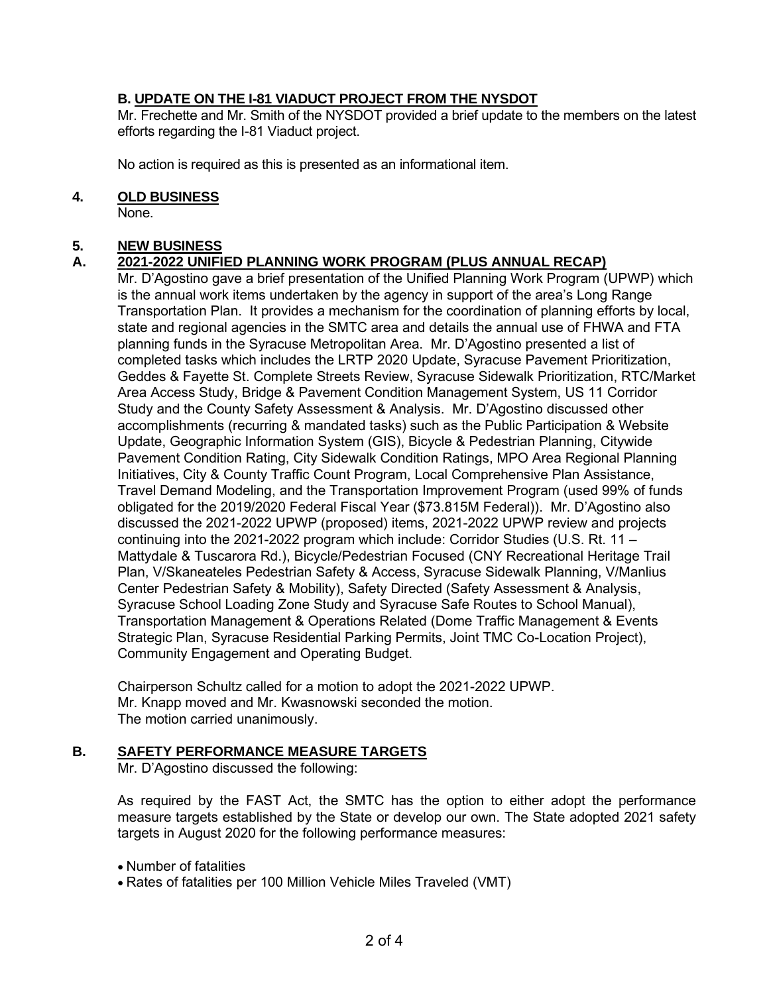# **B. UPDATE ON THE I-81 VIADUCT PROJECT FROM THE NYSDOT**

Mr. Frechette and Mr. Smith of the NYSDOT provided a brief update to the members on the latest efforts regarding the I-81 Viaduct project.

No action is required as this is presented as an informational item.

### **4. OLD BUSINESS**

None.

## **5. NEW BUSINESS**

# **A. 2021-2022 UNIFIED PLANNING WORK PROGRAM (PLUS ANNUAL RECAP)**

Mr. D'Agostino gave a brief presentation of the Unified Planning Work Program (UPWP) which is the annual work items undertaken by the agency in support of the area's Long Range Transportation Plan. It provides a mechanism for the coordination of planning efforts by local, state and regional agencies in the SMTC area and details the annual use of FHWA and FTA planning funds in the Syracuse Metropolitan Area. Mr. D'Agostino presented a list of completed tasks which includes the LRTP 2020 Update, Syracuse Pavement Prioritization, Geddes & Fayette St. Complete Streets Review, Syracuse Sidewalk Prioritization, RTC/Market Area Access Study, Bridge & Pavement Condition Management System, US 11 Corridor Study and the County Safety Assessment & Analysis. Mr. D'Agostino discussed other accomplishments (recurring & mandated tasks) such as the Public Participation & Website Update, Geographic Information System (GIS), Bicycle & Pedestrian Planning, Citywide Pavement Condition Rating, City Sidewalk Condition Ratings, MPO Area Regional Planning Initiatives, City & County Traffic Count Program, Local Comprehensive Plan Assistance, Travel Demand Modeling, and the Transportation Improvement Program (used 99% of funds obligated for the 2019/2020 Federal Fiscal Year (\$73.815M Federal)). Mr. D'Agostino also discussed the 2021-2022 UPWP (proposed) items, 2021-2022 UPWP review and projects continuing into the 2021-2022 program which include: Corridor Studies (U.S. Rt. 11 – Mattydale & Tuscarora Rd.), Bicycle/Pedestrian Focused (CNY Recreational Heritage Trail Plan, V/Skaneateles Pedestrian Safety & Access, Syracuse Sidewalk Planning, V/Manlius Center Pedestrian Safety & Mobility), Safety Directed (Safety Assessment & Analysis, Syracuse School Loading Zone Study and Syracuse Safe Routes to School Manual), Transportation Management & Operations Related (Dome Traffic Management & Events Strategic Plan, Syracuse Residential Parking Permits, Joint TMC Co-Location Project), Community Engagement and Operating Budget.

Chairperson Schultz called for a motion to adopt the 2021-2022 UPWP. Mr. Knapp moved and Mr. Kwasnowski seconded the motion. The motion carried unanimously.

## **B. SAFETY PERFORMANCE MEASURE TARGETS**

Mr. D'Agostino discussed the following:

As required by the FAST Act, the SMTC has the option to either adopt the performance measure targets established by the State or develop our own. The State adopted 2021 safety targets in August 2020 for the following performance measures:

- Number of fatalities
- Rates of fatalities per 100 Million Vehicle Miles Traveled (VMT)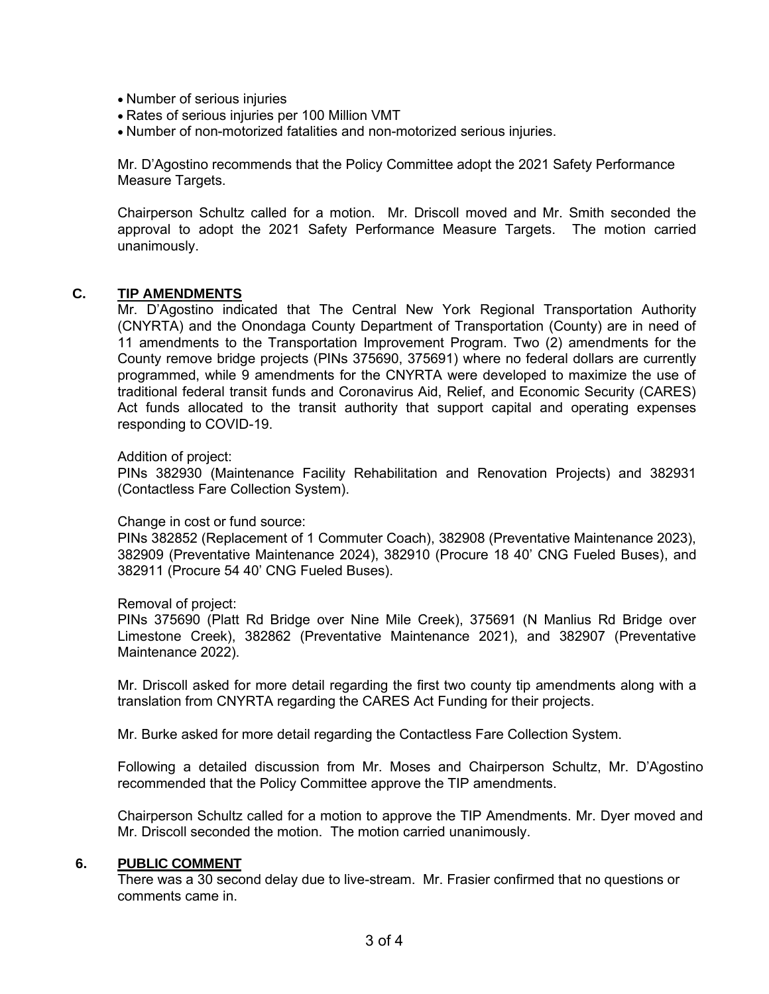- Number of serious injuries
- Rates of serious injuries per 100 Million VMT
- Number of non-motorized fatalities and non-motorized serious injuries.

Mr. D'Agostino recommends that the Policy Committee adopt the 2021 Safety Performance Measure Targets.

Chairperson Schultz called for a motion. Mr. Driscoll moved and Mr. Smith seconded the approval to adopt the 2021 Safety Performance Measure Targets. The motion carried unanimously.

### **C. TIP AMENDMENTS**

Mr. D'Agostino indicated that The Central New York Regional Transportation Authority (CNYRTA) and the Onondaga County Department of Transportation (County) are in need of 11 amendments to the Transportation Improvement Program. Two (2) amendments for the County remove bridge projects (PINs 375690, 375691) where no federal dollars are currently programmed, while 9 amendments for the CNYRTA were developed to maximize the use of traditional federal transit funds and Coronavirus Aid, Relief, and Economic Security (CARES) Act funds allocated to the transit authority that support capital and operating expenses responding to COVID-19.

#### Addition of project:

PINs 382930 (Maintenance Facility Rehabilitation and Renovation Projects) and 382931 (Contactless Fare Collection System).

#### Change in cost or fund source:

PINs 382852 (Replacement of 1 Commuter Coach), 382908 (Preventative Maintenance 2023), 382909 (Preventative Maintenance 2024), 382910 (Procure 18 40' CNG Fueled Buses), and 382911 (Procure 54 40' CNG Fueled Buses).

#### Removal of project:

PINs 375690 (Platt Rd Bridge over Nine Mile Creek), 375691 (N Manlius Rd Bridge over Limestone Creek), 382862 (Preventative Maintenance 2021), and 382907 (Preventative Maintenance 2022).

Mr. Driscoll asked for more detail regarding the first two county tip amendments along with a translation from CNYRTA regarding the CARES Act Funding for their projects.

Mr. Burke asked for more detail regarding the Contactless Fare Collection System.

Following a detailed discussion from Mr. Moses and Chairperson Schultz, Mr. D'Agostino recommended that the Policy Committee approve the TIP amendments.

Chairperson Schultz called for a motion to approve the TIP Amendments. Mr. Dyer moved and Mr. Driscoll seconded the motion. The motion carried unanimously.

#### **6. PUBLIC COMMENT**

There was a 30 second delay due to live-stream. Mr. Frasier confirmed that no questions or comments came in.